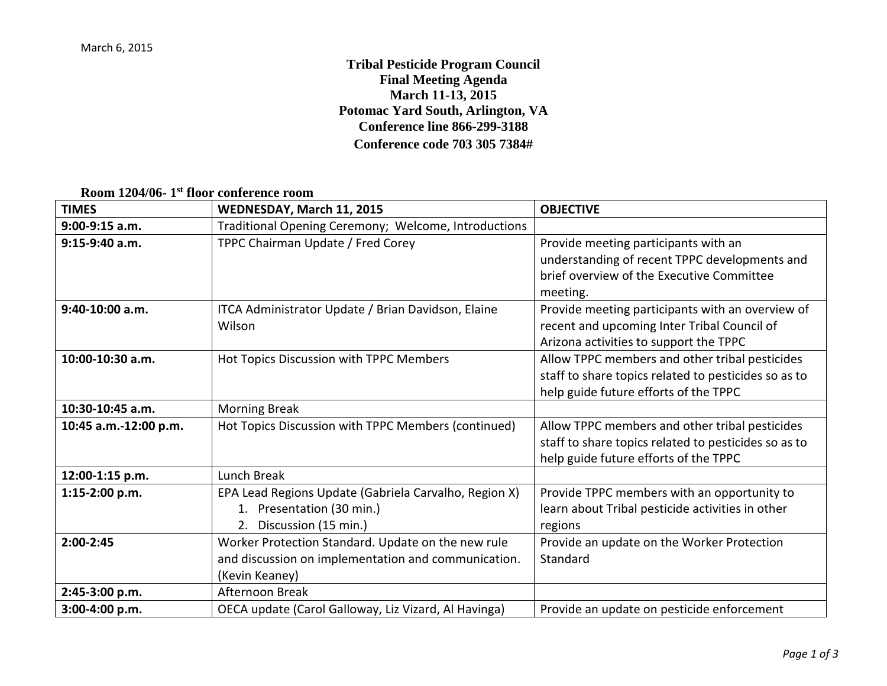**Tribal Pesticide Program Council Final Meeting Agenda March 11-13, 2015 Potomac Yard South, Arlington, VA Conference line 866-299-3188 Conference code 703 305 7384#** 

**Room 1204/06- 1st floor conference room**

| <b>TIMES</b>          | WEDNESDAY, March 11, 2015                                                                                                   | <b>OBJECTIVE</b>                                                                                                                                |
|-----------------------|-----------------------------------------------------------------------------------------------------------------------------|-------------------------------------------------------------------------------------------------------------------------------------------------|
| $9:00-9:15$ a.m.      | Traditional Opening Ceremony; Welcome, Introductions                                                                        |                                                                                                                                                 |
| 9:15-9:40 a.m.        | TPPC Chairman Update / Fred Corey                                                                                           | Provide meeting participants with an<br>understanding of recent TPPC developments and<br>brief overview of the Executive Committee<br>meeting.  |
| 9:40-10:00 a.m.       | ITCA Administrator Update / Brian Davidson, Elaine<br>Wilson                                                                | Provide meeting participants with an overview of<br>recent and upcoming Inter Tribal Council of<br>Arizona activities to support the TPPC       |
| 10:00-10:30 a.m.      | Hot Topics Discussion with TPPC Members                                                                                     | Allow TPPC members and other tribal pesticides<br>staff to share topics related to pesticides so as to<br>help guide future efforts of the TPPC |
| 10:30-10:45 a.m.      | <b>Morning Break</b>                                                                                                        |                                                                                                                                                 |
| 10:45 a.m.-12:00 p.m. | Hot Topics Discussion with TPPC Members (continued)                                                                         | Allow TPPC members and other tribal pesticides<br>staff to share topics related to pesticides so as to<br>help guide future efforts of the TPPC |
| 12:00-1:15 p.m.       | Lunch Break                                                                                                                 |                                                                                                                                                 |
| 1:15-2:00 p.m.        | EPA Lead Regions Update (Gabriela Carvalho, Region X)<br>1. Presentation (30 min.)<br>2. Discussion (15 min.)               | Provide TPPC members with an opportunity to<br>learn about Tribal pesticide activities in other<br>regions                                      |
| 2:00-2:45             | Worker Protection Standard. Update on the new rule<br>and discussion on implementation and communication.<br>(Kevin Keaney) | Provide an update on the Worker Protection<br>Standard                                                                                          |
| 2:45-3:00 p.m.        | Afternoon Break                                                                                                             |                                                                                                                                                 |
| 3:00-4:00 p.m.        | OECA update (Carol Galloway, Liz Vizard, Al Havinga)                                                                        | Provide an update on pesticide enforcement                                                                                                      |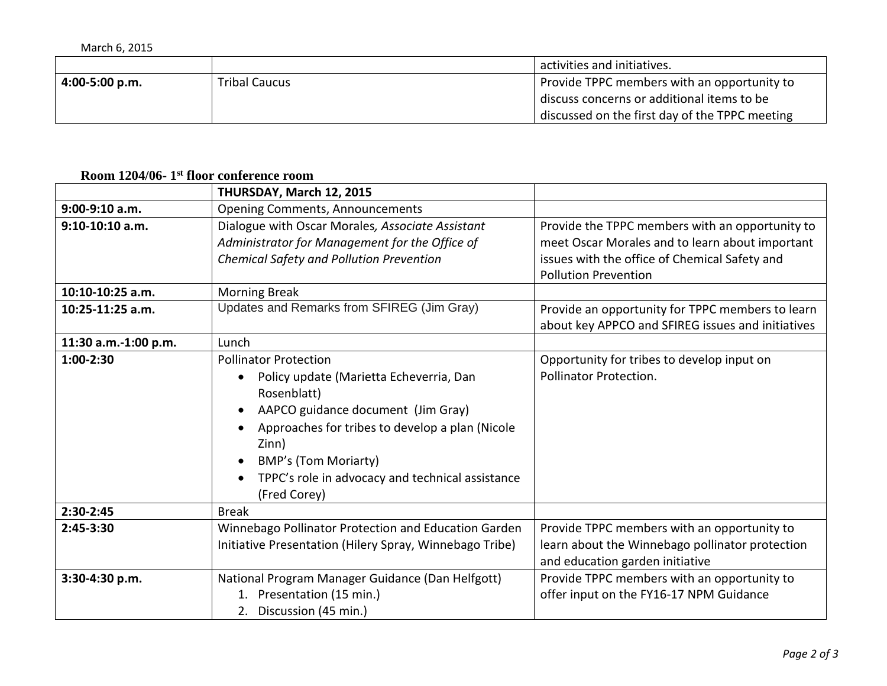| March 6, 2015    |                      |                                                |
|------------------|----------------------|------------------------------------------------|
|                  |                      | activities and initiatives.                    |
| $4:00-5:00 p.m.$ | <b>Tribal Caucus</b> | Provide TPPC members with an opportunity to    |
|                  |                      | discuss concerns or additional items to be     |
|                  |                      | discussed on the first day of the TPPC meeting |

## **Room 1204/06- 1st floor conference room**

|                      | THURSDAY, March 12, 2015                                                                                                                                                                                                                                                                    |                                                                                                                                                                                    |
|----------------------|---------------------------------------------------------------------------------------------------------------------------------------------------------------------------------------------------------------------------------------------------------------------------------------------|------------------------------------------------------------------------------------------------------------------------------------------------------------------------------------|
| 9:00-9:10 a.m.       | <b>Opening Comments, Announcements</b>                                                                                                                                                                                                                                                      |                                                                                                                                                                                    |
| $9:10-10:10$ a.m.    | Dialogue with Oscar Morales, Associate Assistant<br>Administrator for Management for the Office of<br>Chemical Safety and Pollution Prevention                                                                                                                                              | Provide the TPPC members with an opportunity to<br>meet Oscar Morales and to learn about important<br>issues with the office of Chemical Safety and<br><b>Pollution Prevention</b> |
| 10:10-10:25 a.m.     | <b>Morning Break</b>                                                                                                                                                                                                                                                                        |                                                                                                                                                                                    |
| 10:25-11:25 a.m.     | Updates and Remarks from SFIREG (Jim Gray)                                                                                                                                                                                                                                                  | Provide an opportunity for TPPC members to learn<br>about key APPCO and SFIREG issues and initiatives                                                                              |
| 11:30 a.m.-1:00 p.m. | Lunch                                                                                                                                                                                                                                                                                       |                                                                                                                                                                                    |
| 1:00-2:30            | <b>Pollinator Protection</b><br>Policy update (Marietta Echeverria, Dan<br>Rosenblatt)<br>AAPCO guidance document (Jim Gray)<br>Approaches for tribes to develop a plan (Nicole<br>Zinn)<br><b>BMP's (Tom Moriarty)</b><br>TPPC's role in advocacy and technical assistance<br>(Fred Corey) | Opportunity for tribes to develop input on<br>Pollinator Protection.                                                                                                               |
| 2:30-2:45            | <b>Break</b>                                                                                                                                                                                                                                                                                |                                                                                                                                                                                    |
| 2:45-3:30            | Winnebago Pollinator Protection and Education Garden<br>Initiative Presentation (Hilery Spray, Winnebago Tribe)                                                                                                                                                                             | Provide TPPC members with an opportunity to<br>learn about the Winnebago pollinator protection<br>and education garden initiative                                                  |
| 3:30-4:30 p.m.       | National Program Manager Guidance (Dan Helfgott)<br>Presentation (15 min.)<br>1.<br>2. Discussion (45 min.)                                                                                                                                                                                 | Provide TPPC members with an opportunity to<br>offer input on the FY16-17 NPM Guidance                                                                                             |